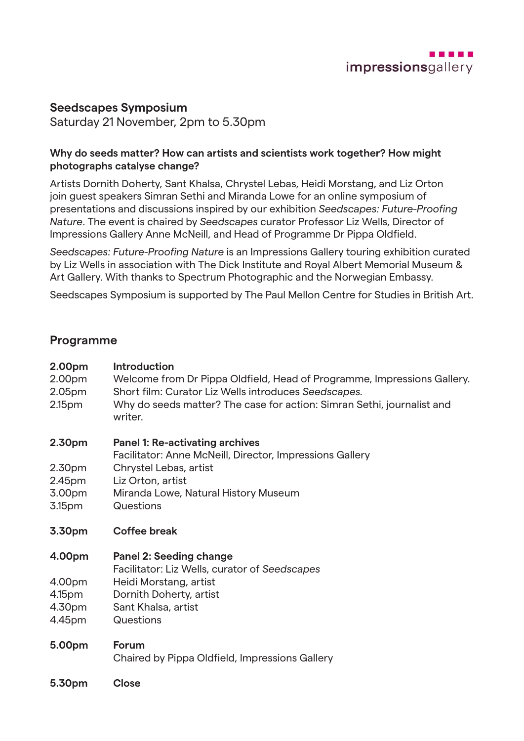

# **Seedscapes Symposium**

Saturday 21 November, 2pm to 5.30pm

## **Why do seeds matter? How can artists and scientists work together? How might photographs catalyse change?**

Artists Dornith Doherty, Sant Khalsa, Chrystel Lebas, Heidi Morstang, and Liz Orton join guest speakers Simran Sethi and Miranda Lowe for an online symposium of presentations and discussions inspired by our exhibition *Seedscapes: Future-Proofing Nature*. The event is chaired by *Seedscapes* curator Professor Liz Wells, Director of Impressions Gallery Anne McNeill, and Head of Programme Dr Pippa Oldfield.

*Seedscapes: Future-Proofing Nature* is an Impressions Gallery touring exhibition curated by Liz Wells in association with The Dick Institute and Royal Albert Memorial Museum & Art Gallery. With thanks to Spectrum Photographic and the Norwegian Embassy.

Seedscapes Symposium is supported by The Paul Mellon Centre for Studies in British Art.

## **Programme**

| 2.00pm<br>2.00pm<br>2.05 <sub>pm</sub><br>2.15 <sub>pm</sub> | <b>Introduction</b><br>Welcome from Dr Pippa Oldfield, Head of Programme, Impressions Gallery.<br>Short film: Curator Liz Wells introduces Seedscapes.<br>Why do seeds matter? The case for action: Simran Sethi, journalist and<br>writer. |
|--------------------------------------------------------------|---------------------------------------------------------------------------------------------------------------------------------------------------------------------------------------------------------------------------------------------|
| 2.30pm<br>2.30pm<br>2.45pm<br>3.00pm<br>3.15pm               | <b>Panel 1: Re-activating archives</b><br>Facilitator: Anne McNeill, Director, Impressions Gallery<br>Chrystel Lebas, artist<br>Liz Orton, artist<br>Miranda Lowe, Natural History Museum<br>Questions                                      |
| 3.30pm                                                       | <b>Coffee break</b>                                                                                                                                                                                                                         |
| 4.00pm<br>4.00pm<br>4.15pm<br>4.30pm<br>4.45pm               | <b>Panel 2: Seeding change</b><br>Facilitator: Liz Wells, curator of Seedscapes<br>Heidi Morstang, artist<br>Dornith Doherty, artist<br>Sant Khalsa, artist<br>Questions                                                                    |
| 5.00pm                                                       | Forum<br>Chaired by Dinne Oldfield, Impressione Callery                                                                                                                                                                                     |

- Chaired by Pippa Oldfield, Impressions Gallery
- **5.30pm Close**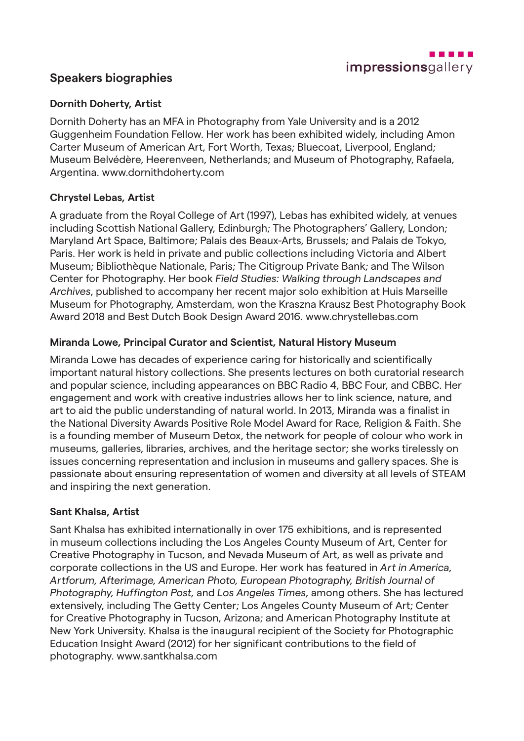

# **Speakers biographies**

## **Dornith Doherty, Artist**

Dornith Doherty has an MFA in Photography from Yale University and is a 2012 Guggenheim Foundation Fellow. Her work has been exhibited widely, including Amon Carter Museum of American Art, Fort Worth, Texas; Bluecoat, Liverpool, England; Museum Belvédère, Heerenveen, Netherlands; and Museum of Photography, Rafaela, Argentina. www.dornithdoherty.com

## **Chrystel Lebas, Artist**

A graduate from the Royal College of Art (1997), Lebas has exhibited widely, at venues including Scottish National Gallery, Edinburgh; The Photographers' Gallery, London; Maryland Art Space, Baltimore; Palais des Beaux-Arts, Brussels; and Palais de Tokyo, Paris. Her work is held in private and public collections including Victoria and Albert Museum; Bibliothèque Nationale, Paris; The Citigroup Private Bank; and The Wilson Center for Photography. Her book *Field Studies: Walking through Landscapes and Archives*, published to accompany her recent major solo exhibition at Huis Marseille Museum for Photography, Amsterdam, won the Kraszna Krausz Best Photography Book Award 2018 and Best Dutch Book Design Award 2016. www.chrystellebas.com

## **Miranda Lowe, Principal Curator and Scientist, Natural History Museum**

Miranda Lowe has decades of experience caring for historically and scientifically important natural history collections. She presents lectures on both curatorial research and popular science, including appearances on BBC Radio 4, BBC Four, and CBBC. Her engagement and work with creative industries allows her to link science, nature, and art to aid the public understanding of natural world. In 2013, Miranda was a finalist in the National Diversity Awards Positive Role Model Award for Race, Religion & Faith. She is a founding member of Museum Detox, the network for people of colour who work in museums, galleries, libraries, archives, and the heritage sector; she works tirelessly on issues concerning representation and inclusion in museums and gallery spaces. She is passionate about ensuring representation of women and diversity at all levels of STEAM and inspiring the next generation.

### **Sant Khalsa, Artist**

Sant Khalsa has exhibited internationally in over 175 exhibitions, and is represented in museum collections including the Los Angeles County Museum of Art, Center for Creative Photography in Tucson, and Nevada Museum of Art, as well as private and corporate collections in the US and Europe. Her work has featured in *Art in America, Artforum, Afterimage, American Photo, European Photography, British Journal of Photography, Huffington Post,* and *Los Angeles Times*, among others. She has lectured extensively, including The Getty Center; Los Angeles County Museum of Art; Center for Creative Photography in Tucson, Arizona; and American Photography Institute at New York University. Khalsa is the inaugural recipient of the Society for Photographic Education Insight Award (2012) for her significant contributions to the field of photography. www.santkhalsa.com